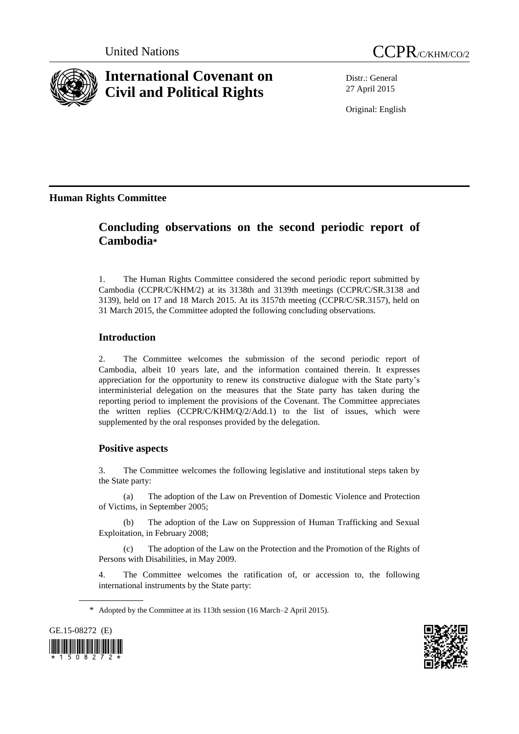

# **International Covenant on Civil and Political Rights**

Distr.: General 27 April 2015

Original: English

**Human Rights Committee**

## **Concluding observations on the second periodic report of Cambodia\***

1. The Human Rights Committee considered the second periodic report submitted by Cambodia (CCPR/C/KHM/2) at its 3138th and 3139th meetings (CCPR/C/SR.3138 and 3139), held on 17 and 18 March 2015. At its 3157th meeting (CCPR/C/SR.3157), held on 31 March 2015, the Committee adopted the following concluding observations.

## **Introduction**

2. The Committee welcomes the submission of the second periodic report of Cambodia, albeit 10 years late, and the information contained therein. It expresses appreciation for the opportunity to renew its constructive dialogue with the State party's interministerial delegation on the measures that the State party has taken during the reporting period to implement the provisions of the Covenant. The Committee appreciates the written replies (CCPR/C/KHM/Q/2/Add.1) to the list of issues, which were supplemented by the oral responses provided by the delegation.

## **Positive aspects**

3. The Committee welcomes the following legislative and institutional steps taken by the State party:

(a) The adoption of the Law on Prevention of Domestic Violence and Protection of Victims, in September 2005;

(b) The adoption of the Law on Suppression of Human Trafficking and Sexual Exploitation, in February 2008;

(c) The adoption of the Law on the Protection and the Promotion of the Rights of Persons with Disabilities, in May 2009.

4. The Committee welcomes the ratification of, or accession to, the following international instruments by the State party:

<sup>\*</sup> Adopted by the Committee at its 113th session (16 March–2 April 2015).



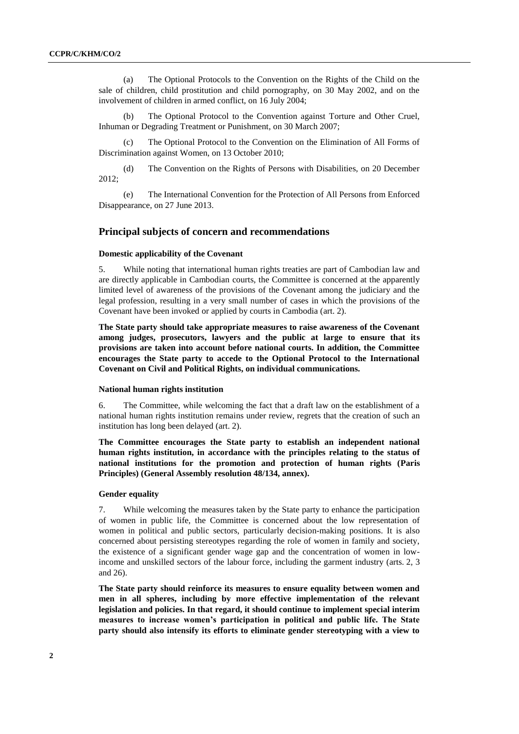(a) The Optional Protocols to the Convention on the Rights of the Child on the sale of children, child prostitution and child pornography, on 30 May 2002, and on the involvement of children in armed conflict, on 16 July 2004;

(b) The Optional Protocol to the Convention against Torture and Other Cruel, Inhuman or Degrading Treatment or Punishment, on 30 March 2007;

(c) The Optional Protocol to the Convention on the Elimination of All Forms of Discrimination against Women, on 13 October 2010;

(d) The Convention on the Rights of Persons with Disabilities, on 20 December 2012;

(e) The International Convention for the Protection of All Persons from Enforced Disappearance, on 27 June 2013.

#### **Principal subjects of concern and recommendations**

#### **Domestic applicability of the Covenant**

5. While noting that international human rights treaties are part of Cambodian law and are directly applicable in Cambodian courts, the Committee is concerned at the apparently limited level of awareness of the provisions of the Covenant among the judiciary and the legal profession, resulting in a very small number of cases in which the provisions of the Covenant have been invoked or applied by courts in Cambodia (art. 2).

**The State party should take appropriate measures to raise awareness of the Covenant among judges, prosecutors, lawyers and the public at large to ensure that its provisions are taken into account before national courts. In addition, the Committee encourages the State party to accede to the Optional Protocol to the International Covenant on Civil and Political Rights, on individual communications.**

#### **National human rights institution**

6. The Committee, while welcoming the fact that a draft law on the establishment of a national human rights institution remains under review, regrets that the creation of such an institution has long been delayed (art. 2).

**The Committee encourages the State party to establish an independent national human rights institution, in accordance with the principles relating to the status of national institutions for the promotion and protection of human rights (Paris Principles) (General Assembly resolution 48/134, annex).**

#### **Gender equality**

7. While welcoming the measures taken by the State party to enhance the participation of women in public life, the Committee is concerned about the low representation of women in political and public sectors, particularly decision-making positions. It is also concerned about persisting stereotypes regarding the role of women in family and society, the existence of a significant gender wage gap and the concentration of women in lowincome and unskilled sectors of the labour force, including the garment industry (arts. 2, 3 and 26).

**The State party should reinforce its measures to ensure equality between women and men in all spheres, including by more effective implementation of the relevant legislation and policies. In that regard, it should continue to implement special interim measures to increase women's participation in political and public life. The State party should also intensify its efforts to eliminate gender stereotyping with a view to**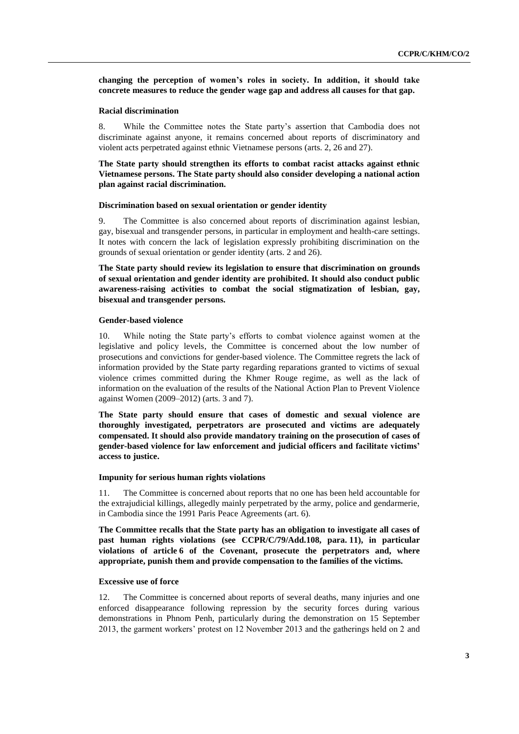**changing the perception of women's roles in society. In addition, it should take concrete measures to reduce the gender wage gap and address all causes for that gap.**

#### **Racial discrimination**

8. While the Committee notes the State party's assertion that Cambodia does not discriminate against anyone, it remains concerned about reports of discriminatory and violent acts perpetrated against ethnic Vietnamese persons (arts. 2, 26 and 27).

**The State party should strengthen its efforts to combat racist attacks against ethnic Vietnamese persons. The State party should also consider developing a national action plan against racial discrimination.**

#### **Discrimination based on sexual orientation or gender identity**

9. The Committee is also concerned about reports of discrimination against lesbian, gay, bisexual and transgender persons, in particular in employment and health-care settings. It notes with concern the lack of legislation expressly prohibiting discrimination on the grounds of sexual orientation or gender identity (arts. 2 and 26).

**The State party should review its legislation to ensure that discrimination on grounds of sexual orientation and gender identity are prohibited. It should also conduct public awareness-raising activities to combat the social stigmatization of lesbian, gay, bisexual and transgender persons.**

#### **Gender-based violence**

10. While noting the State party's efforts to combat violence against women at the legislative and policy levels, the Committee is concerned about the low number of prosecutions and convictions for gender-based violence. The Committee regrets the lack of information provided by the State party regarding reparations granted to victims of sexual violence crimes committed during the Khmer Rouge regime, as well as the lack of information on the evaluation of the results of the National Action Plan to Prevent Violence against Women (2009–2012) (arts. 3 and 7).

**The State party should ensure that cases of domestic and sexual violence are thoroughly investigated, perpetrators are prosecuted and victims are adequately compensated. It should also provide mandatory training on the prosecution of cases of gender-based violence for law enforcement and judicial officers and facilitate victims' access to justice.**

#### **Impunity for serious human rights violations**

11. The Committee is concerned about reports that no one has been held accountable for the extrajudicial killings, allegedly mainly perpetrated by the army, police and gendarmerie, in Cambodia since the 1991 Paris Peace Agreements (art. 6).

**The Committee recalls that the State party has an obligation to investigate all cases of past human rights violations (see CCPR/C/79/Add.108, para. 11), in particular violations of article 6 of the Covenant, prosecute the perpetrators and, where appropriate, punish them and provide compensation to the families of the victims.**

#### **Excessive use of force**

12. The Committee is concerned about reports of several deaths, many injuries and one enforced disappearance following repression by the security forces during various demonstrations in Phnom Penh, particularly during the demonstration on 15 September 2013, the garment workers' protest on 12 November 2013 and the gatherings held on 2 and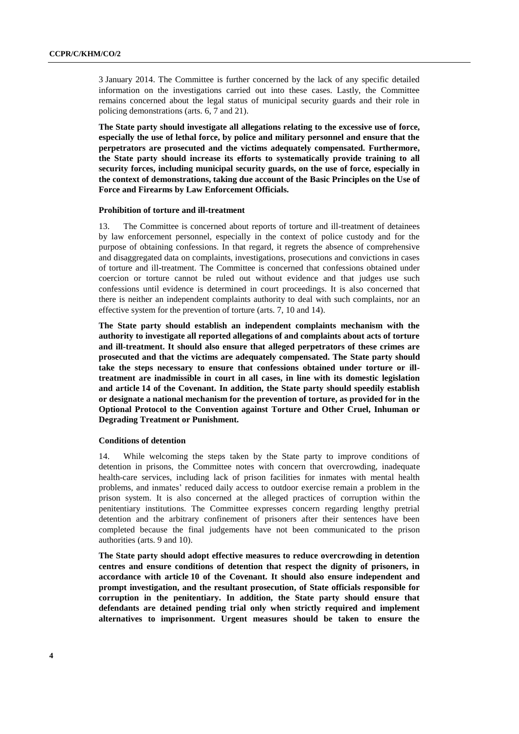3 January 2014. The Committee is further concerned by the lack of any specific detailed information on the investigations carried out into these cases. Lastly, the Committee remains concerned about the legal status of municipal security guards and their role in policing demonstrations (arts. 6, 7 and 21).

**The State party should investigate all allegations relating to the excessive use of force, especially the use of lethal force, by police and military personnel and ensure that the perpetrators are prosecuted and the victims adequately compensated. Furthermore, the State party should increase its efforts to systematically provide training to all security forces, including municipal security guards, on the use of force, especially in the context of demonstrations, taking due account of the Basic Principles on the Use of Force and Firearms by Law Enforcement Officials.**

#### **Prohibition of torture and ill-treatment**

13. The Committee is concerned about reports of torture and ill-treatment of detainees by law enforcement personnel, especially in the context of police custody and for the purpose of obtaining confessions. In that regard, it regrets the absence of comprehensive and disaggregated data on complaints, investigations, prosecutions and convictions in cases of torture and ill-treatment. The Committee is concerned that confessions obtained under coercion or torture cannot be ruled out without evidence and that judges use such confessions until evidence is determined in court proceedings. It is also concerned that there is neither an independent complaints authority to deal with such complaints, nor an effective system for the prevention of torture (arts. 7, 10 and 14).

**The State party should establish an independent complaints mechanism with the authority to investigate all reported allegations of and complaints about acts of torture and ill-treatment. It should also ensure that alleged perpetrators of these crimes are prosecuted and that the victims are adequately compensated. The State party should take the steps necessary to ensure that confessions obtained under torture or illtreatment are inadmissible in court in all cases, in line with its domestic legislation and article 14 of the Covenant. In addition, the State party should speedily establish or designate a national mechanism for the prevention of torture, as provided for in the Optional Protocol to the Convention against Torture and Other Cruel, Inhuman or Degrading Treatment or Punishment.**

#### **Conditions of detention**

14. While welcoming the steps taken by the State party to improve conditions of detention in prisons, the Committee notes with concern that overcrowding, inadequate health-care services, including lack of prison facilities for inmates with mental health problems, and inmates' reduced daily access to outdoor exercise remain a problem in the prison system. It is also concerned at the alleged practices of corruption within the penitentiary institutions. The Committee expresses concern regarding lengthy pretrial detention and the arbitrary confinement of prisoners after their sentences have been completed because the final judgements have not been communicated to the prison authorities (arts. 9 and 10).

**The State party should adopt effective measures to reduce overcrowding in detention centres and ensure conditions of detention that respect the dignity of prisoners, in accordance with article 10 of the Covenant. It should also ensure independent and prompt investigation, and the resultant prosecution, of State officials responsible for corruption in the penitentiary. In addition, the State party should ensure that defendants are detained pending trial only when strictly required and implement alternatives to imprisonment. Urgent measures should be taken to ensure the**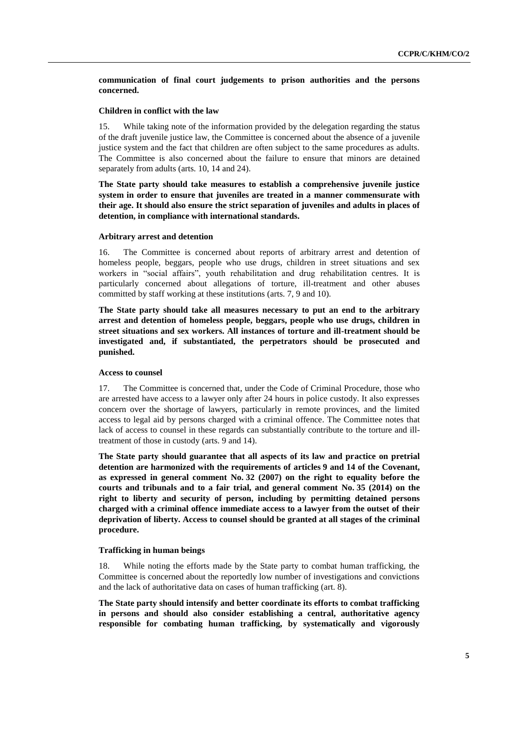**communication of final court judgements to prison authorities and the persons concerned.**

#### **Children in conflict with the law**

15. While taking note of the information provided by the delegation regarding the status of the draft juvenile justice law, the Committee is concerned about the absence of a juvenile justice system and the fact that children are often subject to the same procedures as adults. The Committee is also concerned about the failure to ensure that minors are detained separately from adults (arts. 10, 14 and 24).

**The State party should take measures to establish a comprehensive juvenile justice system in order to ensure that juveniles are treated in a manner commensurate with their age. It should also ensure the strict separation of juveniles and adults in places of detention, in compliance with international standards.**

#### **Arbitrary arrest and detention**

16. The Committee is concerned about reports of arbitrary arrest and detention of homeless people, beggars, people who use drugs, children in street situations and sex workers in "social affairs", youth rehabilitation and drug rehabilitation centres. It is particularly concerned about allegations of torture, ill-treatment and other abuses committed by staff working at these institutions (arts. 7, 9 and 10).

**The State party should take all measures necessary to put an end to the arbitrary arrest and detention of homeless people, beggars, people who use drugs, children in street situations and sex workers. All instances of torture and ill-treatment should be investigated and, if substantiated, the perpetrators should be prosecuted and punished.**

#### **Access to counsel**

17. The Committee is concerned that, under the Code of Criminal Procedure, those who are arrested have access to a lawyer only after 24 hours in police custody. It also expresses concern over the shortage of lawyers, particularly in remote provinces, and the limited access to legal aid by persons charged with a criminal offence. The Committee notes that lack of access to counsel in these regards can substantially contribute to the torture and illtreatment of those in custody (arts. 9 and 14).

**The State party should guarantee that all aspects of its law and practice on pretrial detention are harmonized with the requirements of articles 9 and 14 of the Covenant, as expressed in general comment No. 32 (2007) on the right to equality before the courts and tribunals and to a fair trial, and general comment No. 35 (2014) on the right to liberty and security of person, including by permitting detained persons charged with a criminal offence immediate access to a lawyer from the outset of their deprivation of liberty. Access to counsel should be granted at all stages of the criminal procedure.**

#### **Trafficking in human beings**

18. While noting the efforts made by the State party to combat human trafficking, the Committee is concerned about the reportedly low number of investigations and convictions and the lack of authoritative data on cases of human trafficking (art. 8).

**The State party should intensify and better coordinate its efforts to combat trafficking in persons and should also consider establishing a central, authoritative agency responsible for combating human trafficking, by systematically and vigorously**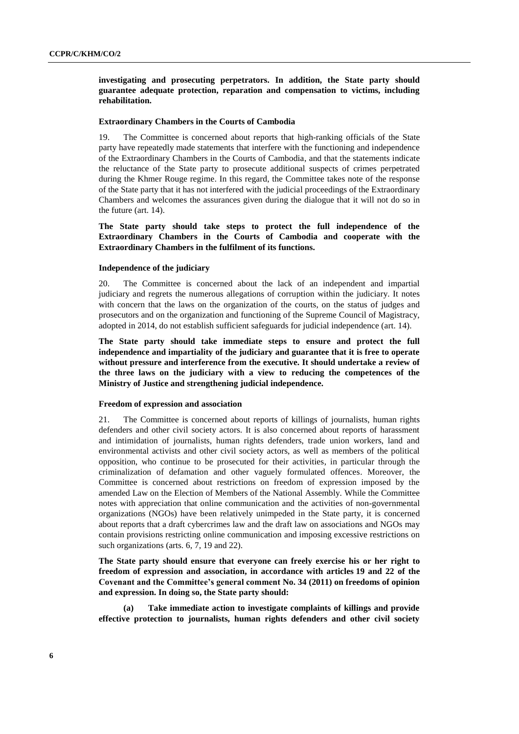**investigating and prosecuting perpetrators. In addition, the State party should guarantee adequate protection, reparation and compensation to victims, including rehabilitation.**

#### **Extraordinary Chambers in the Courts of Cambodia**

The Committee is concerned about reports that high-ranking officials of the State party have repeatedly made statements that interfere with the functioning and independence of the Extraordinary Chambers in the Courts of Cambodia, and that the statements indicate the reluctance of the State party to prosecute additional suspects of crimes perpetrated during the Khmer Rouge regime. In this regard, the Committee takes note of the response of the State party that it has not interfered with the judicial proceedings of the Extraordinary Chambers and welcomes the assurances given during the dialogue that it will not do so in the future (art. 14).

**The State party should take steps to protect the full independence of the Extraordinary Chambers in the Courts of Cambodia and cooperate with the Extraordinary Chambers in the fulfilment of its functions.**

#### **Independence of the judiciary**

20. The Committee is concerned about the lack of an independent and impartial judiciary and regrets the numerous allegations of corruption within the judiciary. It notes with concern that the laws on the organization of the courts, on the status of judges and prosecutors and on the organization and functioning of the Supreme Council of Magistracy, adopted in 2014, do not establish sufficient safeguards for judicial independence (art. 14).

**The State party should take immediate steps to ensure and protect the full independence and impartiality of the judiciary and guarantee that it is free to operate without pressure and interference from the executive. It should undertake a review of the three laws on the judiciary with a view to reducing the competences of the Ministry of Justice and strengthening judicial independence.**

#### **Freedom of expression and association**

21. The Committee is concerned about reports of killings of journalists, human rights defenders and other civil society actors. It is also concerned about reports of harassment and intimidation of journalists, human rights defenders, trade union workers, land and environmental activists and other civil society actors, as well as members of the political opposition, who continue to be prosecuted for their activities, in particular through the criminalization of defamation and other vaguely formulated offences. Moreover, the Committee is concerned about restrictions on freedom of expression imposed by the amended Law on the Election of Members of the National Assembly. While the Committee notes with appreciation that online communication and the activities of non-governmental organizations (NGOs) have been relatively unimpeded in the State party, it is concerned about reports that a draft cybercrimes law and the draft law on associations and NGOs may contain provisions restricting online communication and imposing excessive restrictions on such organizations (arts. 6, 7, 19 and 22).

**The State party should ensure that everyone can freely exercise his or her right to freedom of expression and association, in accordance with articles 19 and 22 of the Covenant and the Committee's general comment No. 34 (2011) on freedoms of opinion and expression. In doing so, the State party should:**

**(a) Take immediate action to investigate complaints of killings and provide effective protection to journalists, human rights defenders and other civil society**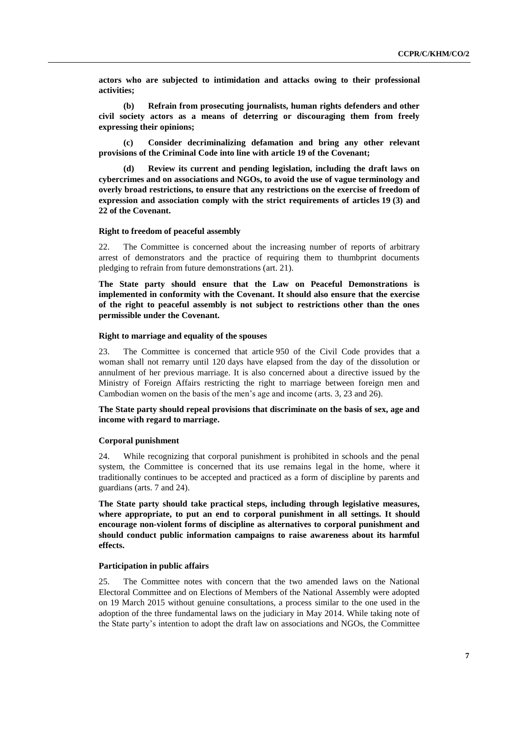**actors who are subjected to intimidation and attacks owing to their professional activities;**

**(b) Refrain from prosecuting journalists, human rights defenders and other civil society actors as a means of deterring or discouraging them from freely expressing their opinions;**

**(c) Consider decriminalizing defamation and bring any other relevant provisions of the Criminal Code into line with article 19 of the Covenant;**

**(d) Review its current and pending legislation, including the draft laws on cybercrimes and on associations and NGOs, to avoid the use of vague terminology and overly broad restrictions, to ensure that any restrictions on the exercise of freedom of expression and association comply with the strict requirements of articles 19 (3) and 22 of the Covenant.**

#### **Right to freedom of peaceful assembly**

22. The Committee is concerned about the increasing number of reports of arbitrary arrest of demonstrators and the practice of requiring them to thumbprint documents pledging to refrain from future demonstrations (art. 21).

**The State party should ensure that the Law on Peaceful Demonstrations is implemented in conformity with the Covenant. It should also ensure that the exercise of the right to peaceful assembly is not subject to restrictions other than the ones permissible under the Covenant.**

#### **Right to marriage and equality of the spouses**

23. The Committee is concerned that article 950 of the Civil Code provides that a woman shall not remarry until 120 days have elapsed from the day of the dissolution or annulment of her previous marriage. It is also concerned about a directive issued by the Ministry of Foreign Affairs restricting the right to marriage between foreign men and Cambodian women on the basis of the men's age and income (arts. 3, 23 and 26).

#### **The State party should repeal provisions that discriminate on the basis of sex, age and income with regard to marriage.**

#### **Corporal punishment**

24. While recognizing that corporal punishment is prohibited in schools and the penal system, the Committee is concerned that its use remains legal in the home, where it traditionally continues to be accepted and practiced as a form of discipline by parents and guardians (arts. 7 and 24).

**The State party should take practical steps, including through legislative measures, where appropriate, to put an end to corporal punishment in all settings. It should encourage non-violent forms of discipline as alternatives to corporal punishment and should conduct public information campaigns to raise awareness about its harmful effects.**

#### **Participation in public affairs**

25. The Committee notes with concern that the two amended laws on the National Electoral Committee and on Elections of Members of the National Assembly were adopted on 19 March 2015 without genuine consultations, a process similar to the one used in the adoption of the three fundamental laws on the judiciary in May 2014. While taking note of the State party's intention to adopt the draft law on associations and NGOs, the Committee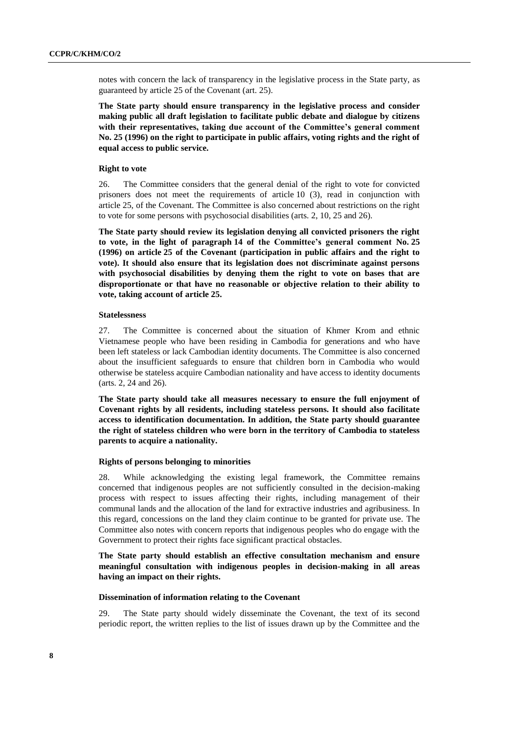notes with concern the lack of transparency in the legislative process in the State party, as guaranteed by article 25 of the Covenant (art. 25).

**The State party should ensure transparency in the legislative process and consider making public all draft legislation to facilitate public debate and dialogue by citizens with their representatives, taking due account of the Committee's general comment No. 25 (1996) on the right to participate in public affairs, voting rights and the right of equal access to public service.**

#### **Right to vote**

26. The Committee considers that the general denial of the right to vote for convicted prisoners does not meet the requirements of article 10 (3), read in conjunction with article 25, of the Covenant. The Committee is also concerned about restrictions on the right to vote for some persons with psychosocial disabilities (arts. 2, 10, 25 and 26).

**The State party should review its legislation denying all convicted prisoners the right to vote, in the light of paragraph 14 of the Committee's general comment No. 25 (1996) on article 25 of the Covenant (participation in public affairs and the right to vote). It should also ensure that its legislation does not discriminate against persons with psychosocial disabilities by denying them the right to vote on bases that are disproportionate or that have no reasonable or objective relation to their ability to vote, taking account of article 25.**

#### **Statelessness**

27. The Committee is concerned about the situation of Khmer Krom and ethnic Vietnamese people who have been residing in Cambodia for generations and who have been left stateless or lack Cambodian identity documents. The Committee is also concerned about the insufficient safeguards to ensure that children born in Cambodia who would otherwise be stateless acquire Cambodian nationality and have access to identity documents (arts. 2, 24 and 26).

**The State party should take all measures necessary to ensure the full enjoyment of Covenant rights by all residents, including stateless persons. It should also facilitate access to identification documentation. In addition, the State party should guarantee the right of stateless children who were born in the territory of Cambodia to stateless parents to acquire a nationality.**

#### **Rights of persons belonging to minorities**

28. While acknowledging the existing legal framework, the Committee remains concerned that indigenous peoples are not sufficiently consulted in the decision-making process with respect to issues affecting their rights, including management of their communal lands and the allocation of the land for extractive industries and agribusiness. In this regard, concessions on the land they claim continue to be granted for private use. The Committee also notes with concern reports that indigenous peoples who do engage with the Government to protect their rights face significant practical obstacles.

#### **The State party should establish an effective consultation mechanism and ensure meaningful consultation with indigenous peoples in decision-making in all areas having an impact on their rights.**

#### **Dissemination of information relating to the Covenant**

29. The State party should widely disseminate the Covenant, the text of its second periodic report, the written replies to the list of issues drawn up by the Committee and the